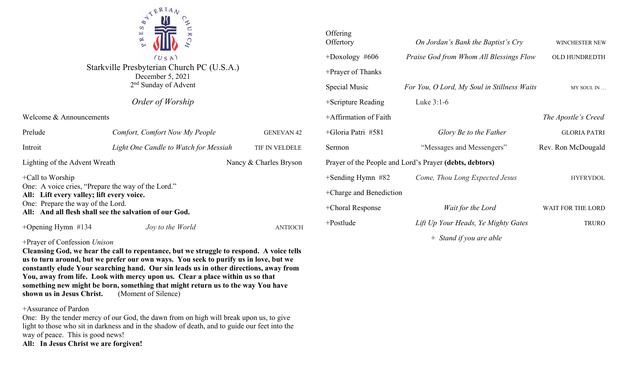

Starkville Presbyterian Church PC (U.S.A.) December 5, 2021 2nd Sunday of Advent

## *Order of Worship*

Welcome & Announcements

| Prelude                                                                                                                                                                                                               | Comfort, Comfort Now My People        | <b>GENEVAN 42</b>      |  |
|-----------------------------------------------------------------------------------------------------------------------------------------------------------------------------------------------------------------------|---------------------------------------|------------------------|--|
| Introit                                                                                                                                                                                                               | Light One Candle to Watch for Messiah | TIF IN VELDELE         |  |
| Lighting of the Advent Wreath                                                                                                                                                                                         |                                       | Nancy & Charles Bryson |  |
| $+$ Call to Worship<br>One: A voice cries, "Prepare the way of the Lord."<br>All: Lift every valley; lift every voice.<br>One: Prepare the way of the Lord.<br>All: And all flesh shall see the salvation of our God. |                                       |                        |  |
| +Opening Hymn $#134$                                                                                                                                                                                                  | Joy to the World                      | ANTIOCH                |  |

### +Prayer of Confession *Unison*

**Cleansing God, we hear the call to repentance, but we struggle to respond. A voice tells us to turn around, but we prefer our own ways. You seek to purify us in love, but we constantly elude Your searching hand. Our sin leads us in other directions, away from You, away from life. Look with mercy upon us. Clear a place within us so that something new might be born, something that might return us to the way You have shown us in Jesus Christ.** (Moment of Silence)

#### +Assurance of Pardon

One: By the tender mercy of our God, the dawn from on high will break upon us, to give light to those who sit in darkness and in the shadow of death, and to guide our feet into the way of peace. This is good news!

**All: In Jesus Christ we are forgiven!**

| Offering<br>Offertory                                   | On Jordan's Bank the Baptist's Cry          | <b>WINCHESTER NEW</b> |  |
|---------------------------------------------------------|---------------------------------------------|-----------------------|--|
| $+$ Doxology #606                                       | Praise God from Whom All Blessings Flow     | OLD HUNDREDTH         |  |
| +Prayer of Thanks                                       |                                             |                       |  |
| Special Music                                           | For You, O Lord, My Soul in Stillness Waits | MY SOUL IN            |  |
| +Scripture Reading                                      | Luke $3:1-6$                                |                       |  |
| +Affirmation of Faith                                   |                                             | The Apostle's Creed   |  |
| +Gloria Patri #581                                      | Glory Be to the Father                      | <b>GLORIA PATRI</b>   |  |
| Sermon                                                  | "Messages and Messengers"                   | Rev. Ron McDougald    |  |
| Prayer of the People and Lord's Prayer (debts, debtors) |                                             |                       |  |
| $+$ Sending Hymn #82                                    | Come, Thou Long Expected Jesus              | <b>HYFRYDOL</b>       |  |
| +Charge and Benediction                                 |                                             |                       |  |
| +Choral Response                                        | Wait for the Lord                           | WAIT FOR THE LORD     |  |
| $+$ Postlude                                            | Lift Up Your Heads, Ye Mighty Gates         | TRURO                 |  |

*+ Stand if you are able*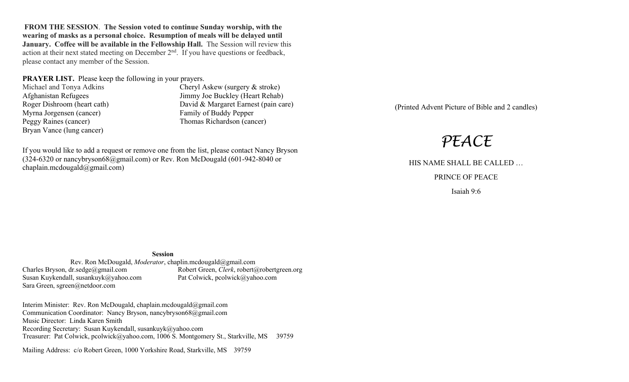**FROM THE SESSION**. **The Session voted to continue Sunday worship, with the wearing of masks as a personal choice. Resumption of meals will be delayed until January. Coffee will be available in the Fellowship Hall.** The Session will review this action at their next stated meeting on December  $2<sup>nd</sup>$ . If you have questions or feedback, please contact any member of the Session.

**PRAYER LIST.** Please keep the following in your prayers.

Myrna Jorgensen (cancer) Family of Buddy Pepper Peggy Raines (cancer) Thomas Richardson (cancer) Bryan Vance (lung cancer)

Michael and Tonya Adkins Cheryl Askew (surgery & stroke) Afghanistan Refugees<br>
Roger Dishroom (heart cath) David & Margaret Earnest (pain ca David & Margaret Earnest (pain care)

If you would like to add a request or remove one from the list, please contact Nancy Bryson (324-6320 or nancybryson68@gmail.com) or Rev. Ron McDougald (601-942-8040 or chaplain.mcdougald@gmail.com)

(Printed Advent Picture of Bible and 2 candles)

# *PEACE*

HIS NAME SHALL BE CALLED … PRINCE OF PEACE

Isaiah 9:6

**Session**

Rev. Ron McDougald, *Moderator*, chaplin.mcdougald@gmail.com<br>Charles Bryson, dr.sedge@gmail.com Robert Green, *Clerk*, robert Susan Kuykendall, susankuyk@yahoo.com Pat Colwick, pcolwick@yahoo.com Sara Green, sgreen@netdoor.com

Robert Green, *Clerk*, robert@robertgreen.org

Interim Minister: Rev. Ron McDougald, chaplain.mcdougald@gmail.com Communication Coordinator: Nancy Bryson, nancybryson68@gmail.com Music Director: Linda Karen Smith Recording Secretary: Susan Kuykendall, susankuyk@yahoo.com Treasurer: Pat Colwick, pcolwick@yahoo.com, 1006 S. Montgomery St., Starkville, MS 39759

Mailing Address: c/o Robert Green, 1000 Yorkshire Road, Starkville, MS 39759